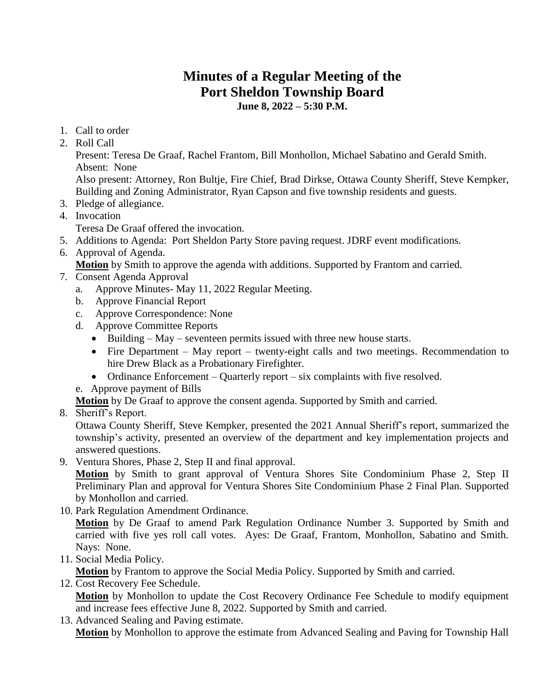## **Minutes of a Regular Meeting of the Port Sheldon Township Board June 8, 2022 – 5:30 P.M.**

- 1. Call to order
- 2. Roll Call

Present: Teresa De Graaf, Rachel Frantom, Bill Monhollon, Michael Sabatino and Gerald Smith. Absent: None

Also present: Attorney, Ron Bultje, Fire Chief, Brad Dirkse, Ottawa County Sheriff, Steve Kempker, Building and Zoning Administrator, Ryan Capson and five township residents and guests.

- 3. Pledge of allegiance.
- 4. Invocation
	- Teresa De Graaf offered the invocation.
- 5. Additions to Agenda: Port Sheldon Party Store paving request. JDRF event modifications.
- 6. Approval of Agenda.

**Motion** by Smith to approve the agenda with additions. Supported by Frantom and carried.

- 7. Consent Agenda Approval
	- a. Approve Minutes- May 11, 2022 Regular Meeting.
	- b. Approve Financial Report
	- c. Approve Correspondence: None
	- d. Approve Committee Reports
		- Building May seventeen permits issued with three new house starts.
		- Fire Department May report twenty-eight calls and two meetings. Recommendation to hire Drew Black as a Probationary Firefighter.
		- Ordinance Enforcement Quarterly report six complaints with five resolved.
	- e. Approve payment of Bills

**Motion** by De Graaf to approve the consent agenda. Supported by Smith and carried.

8. Sheriff's Report.

Ottawa County Sheriff, Steve Kempker, presented the 2021 Annual Sheriff's report, summarized the township's activity, presented an overview of the department and key implementation projects and answered questions.

9. Ventura Shores, Phase 2, Step II and final approval.

**Motion** by Smith to grant approval of Ventura Shores Site Condominium Phase 2, Step II Preliminary Plan and approval for Ventura Shores Site Condominium Phase 2 Final Plan. Supported by Monhollon and carried.

10. Park Regulation Amendment Ordinance.

**Motion** by De Graaf to amend Park Regulation Ordinance Number 3. Supported by Smith and carried with five yes roll call votes. Ayes: De Graaf, Frantom, Monhollon, Sabatino and Smith. Nays: None.

11. Social Media Policy.

**Motion** by Frantom to approve the Social Media Policy. Supported by Smith and carried.

12. Cost Recovery Fee Schedule.

**Motion** by Monhollon to update the Cost Recovery Ordinance Fee Schedule to modify equipment and increase fees effective June 8, 2022. Supported by Smith and carried.

13. Advanced Sealing and Paving estimate.

**Motion** by Monhollon to approve the estimate from Advanced Sealing and Paving for Township Hall